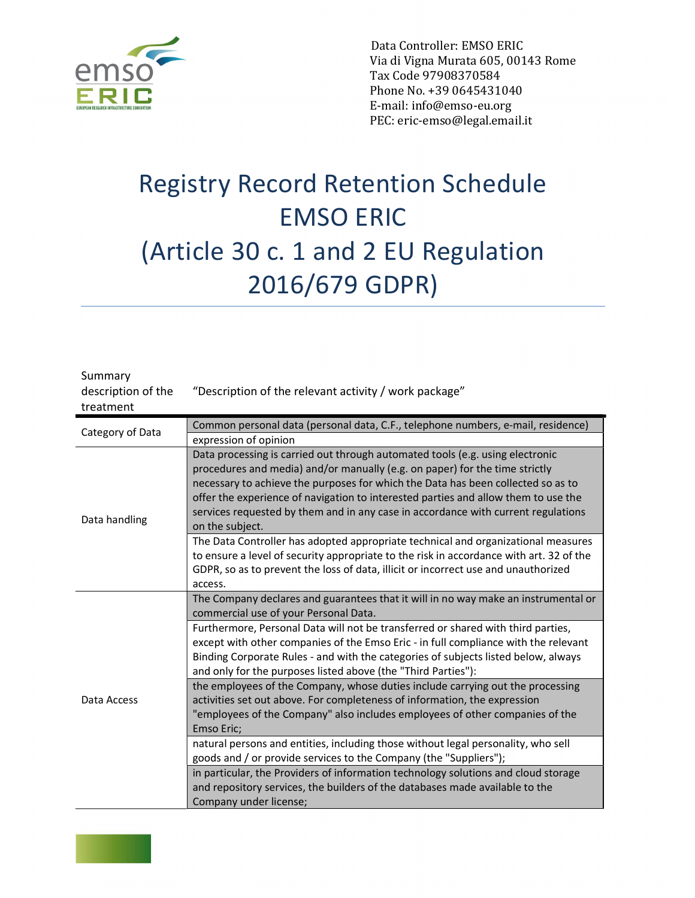

 Data Controller: EMSO ERIC Via di Vigna Murata 605, 00143 Rome Tax Code 97908370584 Phone No. +39 0645431040 E-mail: info@emso-eu.org PEC: eric-emso@legal.email.it

## Registry Record Retention Schedule EMSO ERIC (Article 30 c. 1 and 2 EU Regulation 2016/679 GDPR)

| Summary<br>description of the<br>treatment | "Description of the relevant activity / work package"                                                                                                                                                                                                                                                                                                                                                                                          |
|--------------------------------------------|------------------------------------------------------------------------------------------------------------------------------------------------------------------------------------------------------------------------------------------------------------------------------------------------------------------------------------------------------------------------------------------------------------------------------------------------|
| Category of Data                           | Common personal data (personal data, C.F., telephone numbers, e-mail, residence)                                                                                                                                                                                                                                                                                                                                                               |
|                                            | expression of opinion                                                                                                                                                                                                                                                                                                                                                                                                                          |
| Data handling                              | Data processing is carried out through automated tools (e.g. using electronic<br>procedures and media) and/or manually (e.g. on paper) for the time strictly<br>necessary to achieve the purposes for which the Data has been collected so as to<br>offer the experience of navigation to interested parties and allow them to use the<br>services requested by them and in any case in accordance with current regulations<br>on the subject. |
|                                            | The Data Controller has adopted appropriate technical and organizational measures<br>to ensure a level of security appropriate to the risk in accordance with art. 32 of the<br>GDPR, so as to prevent the loss of data, illicit or incorrect use and unauthorized<br>access.                                                                                                                                                                  |
| Data Access                                | The Company declares and guarantees that it will in no way make an instrumental or<br>commercial use of your Personal Data.                                                                                                                                                                                                                                                                                                                    |
|                                            | Furthermore, Personal Data will not be transferred or shared with third parties,<br>except with other companies of the Emso Eric - in full compliance with the relevant<br>Binding Corporate Rules - and with the categories of subjects listed below, always<br>and only for the purposes listed above (the "Third Parties"):                                                                                                                 |
|                                            | the employees of the Company, whose duties include carrying out the processing<br>activities set out above. For completeness of information, the expression<br>"employees of the Company" also includes employees of other companies of the<br>Emso Eric;                                                                                                                                                                                      |
|                                            | natural persons and entities, including those without legal personality, who sell<br>goods and / or provide services to the Company (the "Suppliers");                                                                                                                                                                                                                                                                                         |
|                                            | in particular, the Providers of information technology solutions and cloud storage<br>and repository services, the builders of the databases made available to the<br>Company under license;                                                                                                                                                                                                                                                   |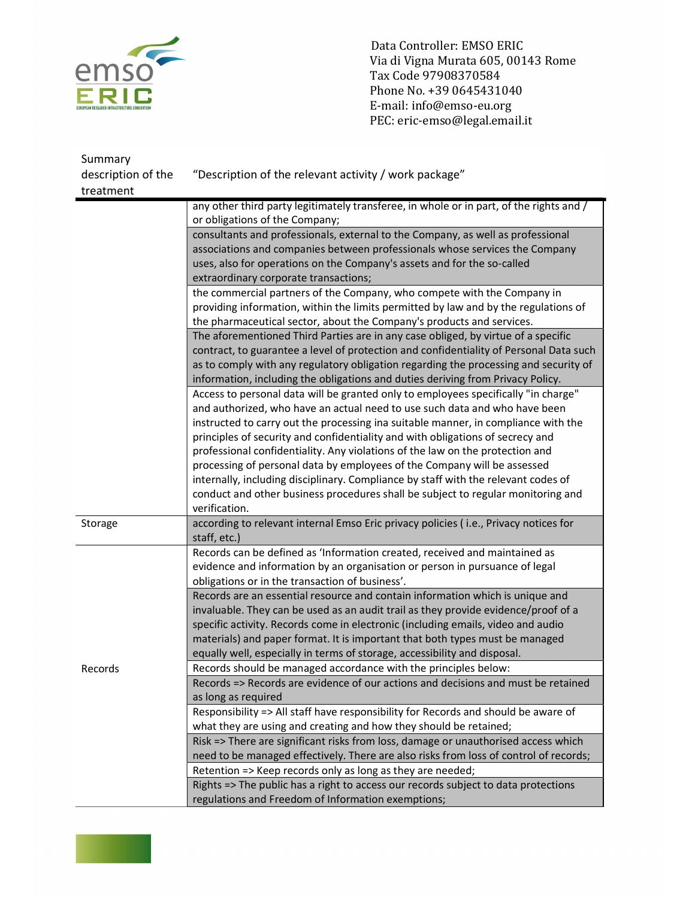

Data Controller: EMSO ERIC<br>
Via di Vigna Murata 605, 001<br>
Tax Code 97908370584<br>
Phone No. +39 0645431040<br>
ERIC<br>
E-mail: info@emso-eu.org Via di Vigna Murata 605, 00143 Rome Tax Code 97908370584 Phone No. +39 0645431040 E-mail: info@emso-eu.org PEC: eric-emso@legal.email.it

| Summary            |                                                                                         |
|--------------------|-----------------------------------------------------------------------------------------|
| description of the | "Description of the relevant activity / work package"                                   |
| treatment          |                                                                                         |
|                    | any other third party legitimately transferee, in whole or in part, of the rights and / |
|                    | or obligations of the Company;                                                          |
|                    | consultants and professionals, external to the Company, as well as professional         |
|                    | associations and companies between professionals whose services the Company             |
|                    | uses, also for operations on the Company's assets and for the so-called                 |
|                    | extraordinary corporate transactions;                                                   |
|                    | the commercial partners of the Company, who compete with the Company in                 |
|                    | providing information, within the limits permitted by law and by the regulations of     |
|                    | the pharmaceutical sector, about the Company's products and services.                   |
|                    | The aforementioned Third Parties are in any case obliged, by virtue of a specific       |
|                    | contract, to guarantee a level of protection and confidentiality of Personal Data such  |
|                    | as to comply with any regulatory obligation regarding the processing and security of    |
|                    | information, including the obligations and duties deriving from Privacy Policy.         |
|                    | Access to personal data will be granted only to employees specifically "in charge"      |
|                    | and authorized, who have an actual need to use such data and who have been              |
|                    | instructed to carry out the processing ina suitable manner, in compliance with the      |
|                    | principles of security and confidentiality and with obligations of secrecy and          |
|                    | professional confidentiality. Any violations of the law on the protection and           |
|                    | processing of personal data by employees of the Company will be assessed                |
|                    | internally, including disciplinary. Compliance by staff with the relevant codes of      |
|                    | conduct and other business procedures shall be subject to regular monitoring and        |
|                    | verification.                                                                           |
| Storage            | according to relevant internal Emso Eric privacy policies (i.e., Privacy notices for    |
|                    | staff, etc.)                                                                            |
|                    | Records can be defined as 'Information created, received and maintained as              |
|                    | evidence and information by an organisation or person in pursuance of legal             |
|                    | obligations or in the transaction of business'.                                         |
|                    | Records are an essential resource and contain information which is unique and           |
|                    | invaluable. They can be used as an audit trail as they provide evidence/proof of a      |
|                    | specific activity. Records come in electronic (including emails, video and audio        |
|                    | materials) and paper format. It is important that both types must be managed            |
|                    | equally well, especially in terms of storage, accessibility and disposal.               |
| Records            | Records should be managed accordance with the principles below:                         |
|                    | Records => Records are evidence of our actions and decisions and must be retained       |
|                    | as long as required                                                                     |
|                    | Responsibility => All staff have responsibility for Records and should be aware of      |
|                    | what they are using and creating and how they should be retained;                       |
|                    | Risk => There are significant risks from loss, damage or unauthorised access which      |
|                    | need to be managed effectively. There are also risks from loss of control of records;   |
|                    | Retention => Keep records only as long as they are needed;                              |
|                    | Rights => The public has a right to access our records subject to data protections      |
|                    | regulations and Freedom of Information exemptions;                                      |

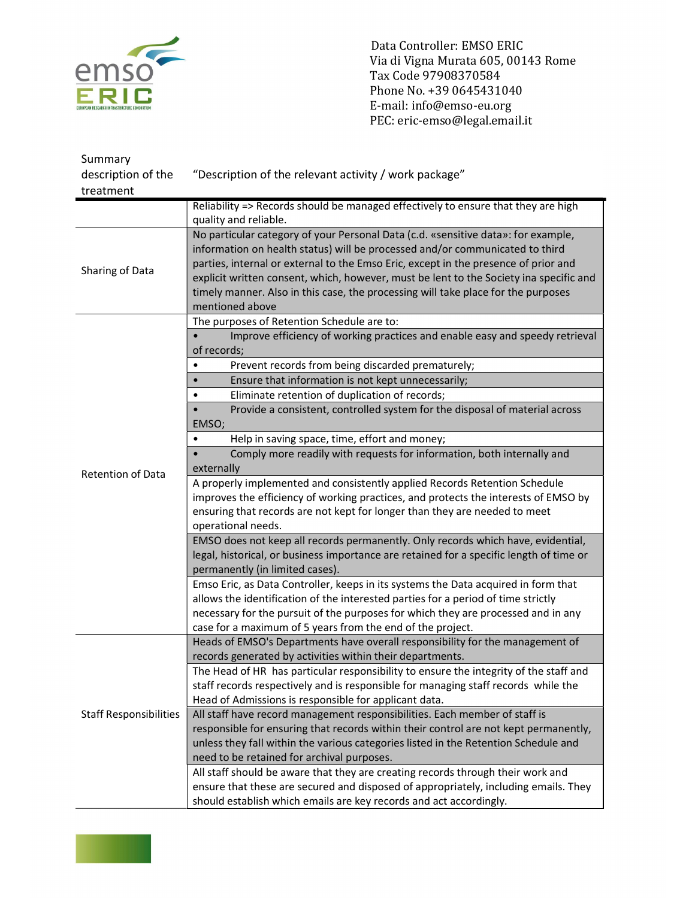

Data Controller: EMSO ERIC<br>Via di Vigna Murata 605, 001<br>Tax Code 97908370584 Via di Vigna Murata 605, 00143 Rome Tax Code 97908370584 Phone No. +39 0645431040 E-mail: info@emso-eu.org PEC: eric-emso@legal.email.it

| Summary                       |                                                                                         |
|-------------------------------|-----------------------------------------------------------------------------------------|
| description of the            | "Description of the relevant activity / work package"                                   |
| treatment                     |                                                                                         |
|                               | Reliability => Records should be managed effectively to ensure that they are high       |
|                               | quality and reliable.                                                                   |
| Sharing of Data               | No particular category of your Personal Data (c.d. «sensitive data»: for example,       |
|                               | information on health status) will be processed and/or communicated to third            |
|                               | parties, internal or external to the Emso Eric, except in the presence of prior and     |
|                               | explicit written consent, which, however, must be lent to the Society ina specific and  |
|                               | timely manner. Also in this case, the processing will take place for the purposes       |
|                               | mentioned above                                                                         |
|                               | The purposes of Retention Schedule are to:                                              |
|                               | Improve efficiency of working practices and enable easy and speedy retrieval            |
|                               | of records;                                                                             |
|                               | Prevent records from being discarded prematurely;                                       |
|                               | Ensure that information is not kept unnecessarily;                                      |
|                               | Eliminate retention of duplication of records;                                          |
|                               | Provide a consistent, controlled system for the disposal of material across             |
|                               | EMSO;                                                                                   |
|                               | Help in saving space, time, effort and money;<br>$\bullet$                              |
|                               | Comply more readily with requests for information, both internally and                  |
| <b>Retention of Data</b>      | externally                                                                              |
|                               | A properly implemented and consistently applied Records Retention Schedule              |
|                               | improves the efficiency of working practices, and protects the interests of EMSO by     |
|                               | ensuring that records are not kept for longer than they are needed to meet              |
|                               | operational needs.                                                                      |
|                               | EMSO does not keep all records permanently. Only records which have, evidential,        |
|                               | legal, historical, or business importance are retained for a specific length of time or |
|                               | permanently (in limited cases).                                                         |
|                               | Emso Eric, as Data Controller, keeps in its systems the Data acquired in form that      |
|                               | allows the identification of the interested parties for a period of time strictly       |
|                               | necessary for the pursuit of the purposes for which they are processed and in any       |
|                               | case for a maximum of 5 years from the end of the project.                              |
| <b>Staff Responsibilities</b> | Heads of EMSO's Departments have overall responsibility for the management of           |
|                               | records generated by activities within their departments.                               |
|                               | The Head of HR has particular responsibility to ensure the integrity of the staff and   |
|                               | staff records respectively and is responsible for managing staff records while the      |
|                               | Head of Admissions is responsible for applicant data.                                   |
|                               | All staff have record management responsibilities. Each member of staff is              |
|                               | responsible for ensuring that records within their control are not kept permanently,    |
|                               | unless they fall within the various categories listed in the Retention Schedule and     |
|                               | need to be retained for archival purposes.                                              |
|                               | All staff should be aware that they are creating records through their work and         |
|                               | ensure that these are secured and disposed of appropriately, including emails. They     |
|                               | should establish which emails are key records and act accordingly.                      |